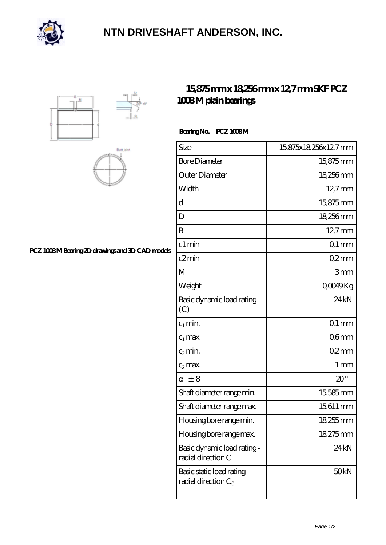

## **[NTN DRIVESHAFT ANDERSON, INC.](https://m.flash-igre.net)**





### **[PCZ 1008 M Bearing 2D drawings and 3D CAD models](https://m.flash-igre.net/pic-437676.html)**

## **[15,875 mm x 18,256 mm x 12,7 mm SKF PCZ](https://m.flash-igre.net/am-437676-skf-pcz-1008-m-plain-bearings.html) [1008 M plain bearings](https://m.flash-igre.net/am-437676-skf-pcz-1008-m-plain-bearings.html)**

#### Bearing No. PCZ 1008M

| Size                                                 | 15875x18256x127mm |
|------------------------------------------------------|-------------------|
| <b>Bore Diameter</b>                                 | 15,875mm          |
| Outer Diameter                                       | 18256mm           |
| Width                                                | $12.7$ mm         |
| d                                                    | 15875mm           |
| D                                                    | 18256mm           |
| B                                                    | 12,7mm            |
| c1 min                                               | $Q1$ mm           |
| c2min                                                | Q2mm              |
| М                                                    | 3mm               |
| Weight                                               | QOO49Kg           |
| Basic dynamic load rating<br>(C)                     | 24kN              |
| $c_1$ min.                                           | $Q1$ mm           |
| $c_1$ max.                                           | 06 <sub>mm</sub>  |
| $c_2$ min.                                           | 02mm              |
| $c_2$ max.                                           | 1 <sub>mm</sub>   |
| ± 8                                                  | $20^{\circ}$      |
| Shaft diameter range min.                            | 15585mm           |
| Shaft diameter range max.                            | 15611 mm          |
| Housing bore range min.                              | 18255mm           |
| Housing bore range max.                              | 18275mm           |
| Basic dynamic load rating-<br>radial direction C     | 24 kN             |
| Basic static load rating -<br>radial direction $C_0$ | 50kN              |
|                                                      |                   |